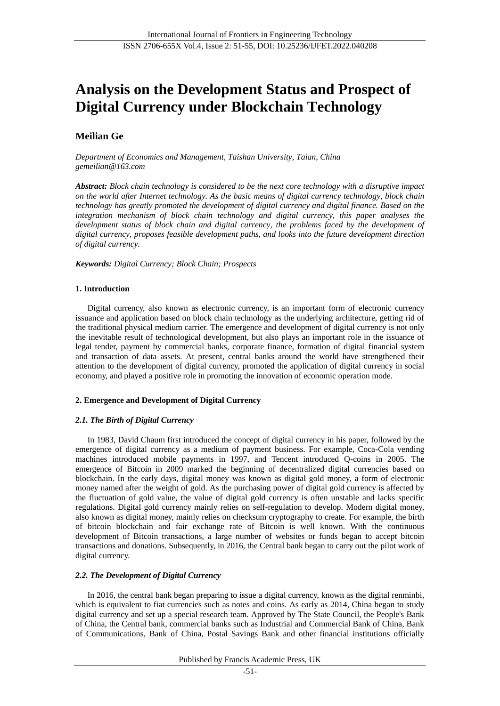# **Analysis on the Development Status and Prospect of Digital Currency under Blockchain Technology**

# **Meilian Ge**

*Department of Economics and Management, Taishan University, Taian, China gemeilian@163.com*

*Abstract: Block chain technology is considered to be the next core technology with a disruptive impact on the world after Internet technology. As the basic means of digital currency technology, block chain technology has greatly promoted the development of digital currency and digital finance. Based on the integration mechanism of block chain technology and digital currency, this paper analyses the development status of block chain and digital currency, the problems faced by the development of digital currency, proposes feasible development paths, and looks into the future development direction of digital currency.*

*Keywords: Digital Currency; Block Chain; Prospects*

# **1. Introduction**

Digital currency, also known as electronic currency, is an important form of electronic currency issuance and application based on block chain technology as the underlying architecture, getting rid of the traditional physical medium carrier. The emergence and development of digital currency is not only the inevitable result of technological development, but also plays an important role in the issuance of legal tender, payment by commercial banks, corporate finance, formation of digital financial system and transaction of data assets. At present, central banks around the world have strengthened their attention to the development of digital currency, promoted the application of digital currency in social economy, and played a positive role in promoting the innovation of economic operation mode.

# **2. Emergence and Development of Digital Currency**

# *2.1. The Birth of Digital Currency*

In 1983, David Chaum first introduced the concept of digital currency in his paper, followed by the emergence of digital currency as a medium of payment business. For example, Coca-Cola vending machines introduced mobile payments in 1997, and Tencent introduced Q-coins in 2005. The emergence of Bitcoin in 2009 marked the beginning of decentralized digital currencies based on blockchain. In the early days, digital money was known as digital gold money, a form of electronic money named after the weight of gold. As the purchasing power of digital gold currency is affected by the fluctuation of gold value, the value of digital gold currency is often unstable and lacks specific regulations. Digital gold currency mainly relies on self-regulation to develop. Modern digital money, also known as digital money, mainly relies on checksum cryptography to create. For example, the birth of bitcoin blockchain and fair exchange rate of Bitcoin is well known. With the continuous development of Bitcoin transactions, a large number of websites or funds began to accept bitcoin transactions and donations. Subsequently, in 2016, the Central bank began to carry out the pilot work of digital currency.

# *2.2. The Development of Digital Currency*

In 2016, the central bank began preparing to issue a digital currency, known as the digital renminbi, which is equivalent to fiat currencies such as notes and coins. As early as 2014, China began to study digital currency and set up a special research team. Approved by The State Council, the People's Bank of China, the Central bank, commercial banks such as Industrial and Commercial Bank of China, Bank of Communications, Bank of China, Postal Savings Bank and other financial institutions officially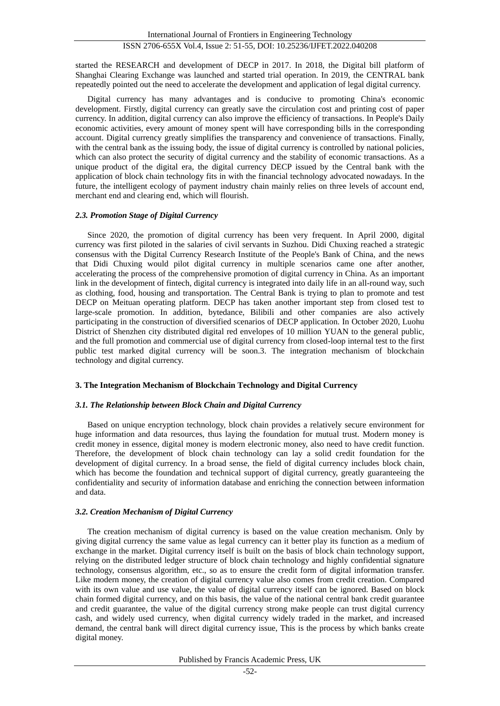started the RESEARCH and development of DECP in 2017. In 2018, the Digital bill platform of Shanghai Clearing Exchange was launched and started trial operation. In 2019, the CENTRAL bank repeatedly pointed out the need to accelerate the development and application of legal digital currency.

Digital currency has many advantages and is conducive to promoting China's economic development. Firstly, digital currency can greatly save the circulation cost and printing cost of paper currency. In addition, digital currency can also improve the efficiency of transactions. In People's Daily economic activities, every amount of money spent will have corresponding bills in the corresponding account. Digital currency greatly simplifies the transparency and convenience of transactions. Finally, with the central bank as the issuing body, the issue of digital currency is controlled by national policies, which can also protect the security of digital currency and the stability of economic transactions. As a unique product of the digital era, the digital currency DECP issued by the Central bank with the application of block chain technology fits in with the financial technology advocated nowadays. In the future, the intelligent ecology of payment industry chain mainly relies on three levels of account end, merchant end and clearing end, which will flourish.

#### *2.3. Promotion Stage of Digital Currency*

Since 2020, the promotion of digital currency has been very frequent. In April 2000, digital currency was first piloted in the salaries of civil servants in Suzhou. Didi Chuxing reached a strategic consensus with the Digital Currency Research Institute of the People's Bank of China, and the news that Didi Chuxing would pilot digital currency in multiple scenarios came one after another, accelerating the process of the comprehensive promotion of digital currency in China. As an important link in the development of fintech, digital currency is integrated into daily life in an all-round way, such as clothing, food, housing and transportation. The Central Bank is trying to plan to promote and test DECP on Meituan operating platform. DECP has taken another important step from closed test to large-scale promotion. In addition, bytedance, Bilibili and other companies are also actively participating in the construction of diversified scenarios of DECP application. In October 2020, Luohu District of Shenzhen city distributed digital red envelopes of 10 million YUAN to the general public, and the full promotion and commercial use of digital currency from closed-loop internal test to the first public test marked digital currency will be soon.3. The integration mechanism of blockchain technology and digital currency.

# **3. The Integration Mechanism of Blockchain Technology and Digital Currency**

# *3.1. The Relationship between Block Chain and Digital Currency*

Based on unique encryption technology, block chain provides a relatively secure environment for huge information and data resources, thus laying the foundation for mutual trust. Modern money is credit money in essence, digital money is modern electronic money, also need to have credit function. Therefore, the development of block chain technology can lay a solid credit foundation for the development of digital currency. In a broad sense, the field of digital currency includes block chain, which has become the foundation and technical support of digital currency, greatly guaranteeing the confidentiality and security of information database and enriching the connection between information and data.

# *3.2. Creation Mechanism of Digital Currency*

The creation mechanism of digital currency is based on the value creation mechanism. Only by giving digital currency the same value as legal currency can it better play its function as a medium of exchange in the market. Digital currency itself is built on the basis of block chain technology support, relying on the distributed ledger structure of block chain technology and highly confidential signature technology, consensus algorithm, etc., so as to ensure the credit form of digital information transfer. Like modern money, the creation of digital currency value also comes from credit creation. Compared with its own value and use value, the value of digital currency itself can be ignored. Based on block chain formed digital currency, and on this basis, the value of the national central bank credit guarantee and credit guarantee, the value of the digital currency strong make people can trust digital currency cash, and widely used currency, when digital currency widely traded in the market, and increased demand, the central bank will direct digital currency issue, This is the process by which banks create digital money.

Published by Francis Academic Press, UK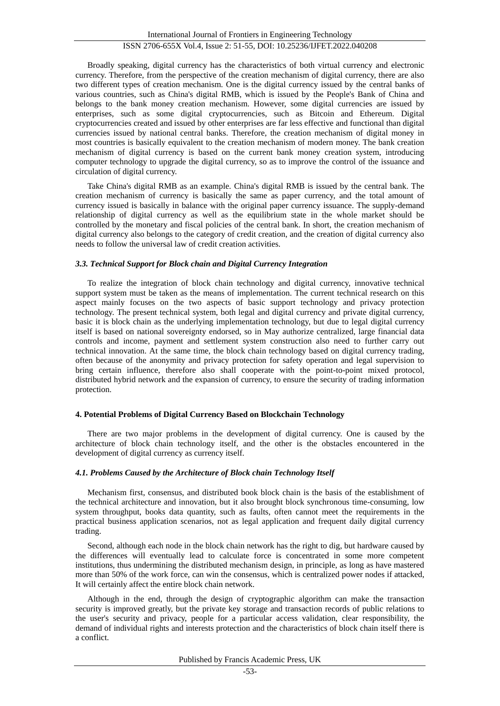Broadly speaking, digital currency has the characteristics of both virtual currency and electronic currency. Therefore, from the perspective of the creation mechanism of digital currency, there are also two different types of creation mechanism. One is the digital currency issued by the central banks of various countries, such as China's digital RMB, which is issued by the People's Bank of China and belongs to the bank money creation mechanism. However, some digital currencies are issued by enterprises, such as some digital cryptocurrencies, such as Bitcoin and Ethereum. Digital cryptocurrencies created and issued by other enterprises are far less effective and functional than digital currencies issued by national central banks. Therefore, the creation mechanism of digital money in most countries is basically equivalent to the creation mechanism of modern money. The bank creation mechanism of digital currency is based on the current bank money creation system, introducing computer technology to upgrade the digital currency, so as to improve the control of the issuance and circulation of digital currency.

Take China's digital RMB as an example. China's digital RMB is issued by the central bank. The creation mechanism of currency is basically the same as paper currency, and the total amount of currency issued is basically in balance with the original paper currency issuance. The supply-demand relationship of digital currency as well as the equilibrium state in the whole market should be controlled by the monetary and fiscal policies of the central bank. In short, the creation mechanism of digital currency also belongs to the category of credit creation, and the creation of digital currency also needs to follow the universal law of credit creation activities.

#### *3.3. Technical Support for Block chain and Digital Currency Integration*

To realize the integration of block chain technology and digital currency, innovative technical support system must be taken as the means of implementation. The current technical research on this aspect mainly focuses on the two aspects of basic support technology and privacy protection technology. The present technical system, both legal and digital currency and private digital currency, basic it is block chain as the underlying implementation technology, but due to legal digital currency itself is based on national sovereignty endorsed, so in May authorize centralized, large financial data controls and income, payment and settlement system construction also need to further carry out technical innovation. At the same time, the block chain technology based on digital currency trading, often because of the anonymity and privacy protection for safety operation and legal supervision to bring certain influence, therefore also shall cooperate with the point-to-point mixed protocol, distributed hybrid network and the expansion of currency, to ensure the security of trading information protection.

# **4. Potential Problems of Digital Currency Based on Blockchain Technology**

There are two major problems in the development of digital currency. One is caused by the architecture of block chain technology itself, and the other is the obstacles encountered in the development of digital currency as currency itself.

# *4.1. Problems Caused by the Architecture of Block chain Technology Itself*

Mechanism first, consensus, and distributed book block chain is the basis of the establishment of the technical architecture and innovation, but it also brought block synchronous time-consuming, low system throughput, books data quantity, such as faults, often cannot meet the requirements in the practical business application scenarios, not as legal application and frequent daily digital currency trading.

Second, although each node in the block chain network has the right to dig, but hardware caused by the differences will eventually lead to calculate force is concentrated in some more competent institutions, thus undermining the distributed mechanism design, in principle, as long as have mastered more than 50% of the work force, can win the consensus, which is centralized power nodes if attacked, It will certainly affect the entire block chain network.

Although in the end, through the design of cryptographic algorithm can make the transaction security is improved greatly, but the private key storage and transaction records of public relations to the user's security and privacy, people for a particular access validation, clear responsibility, the demand of individual rights and interests protection and the characteristics of block chain itself there is a conflict.

Published by Francis Academic Press, UK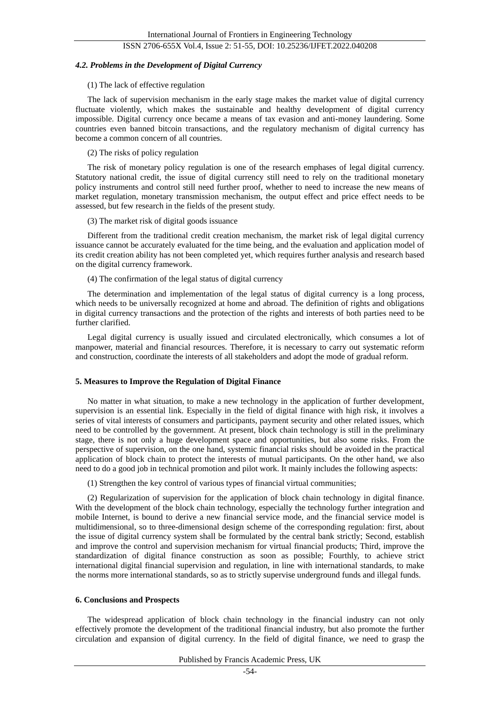# ISSN 2706-655X Vol.4, Issue 2: 51-55, DOI: 10.25236/IJFET.2022.040208

#### *4.2. Problems in the Development of Digital Currency*

#### (1) The lack of effective regulation

The lack of supervision mechanism in the early stage makes the market value of digital currency fluctuate violently, which makes the sustainable and healthy development of digital currency impossible. Digital currency once became a means of tax evasion and anti-money laundering. Some countries even banned bitcoin transactions, and the regulatory mechanism of digital currency has become a common concern of all countries.

(2) The risks of policy regulation

The risk of monetary policy regulation is one of the research emphases of legal digital currency. Statutory national credit, the issue of digital currency still need to rely on the traditional monetary policy instruments and control still need further proof, whether to need to increase the new means of market regulation, monetary transmission mechanism, the output effect and price effect needs to be assessed, but few research in the fields of the present study.

(3) The market risk of digital goods issuance

Different from the traditional credit creation mechanism, the market risk of legal digital currency issuance cannot be accurately evaluated for the time being, and the evaluation and application model of its credit creation ability has not been completed yet, which requires further analysis and research based on the digital currency framework.

(4) The confirmation of the legal status of digital currency

The determination and implementation of the legal status of digital currency is a long process, which needs to be universally recognized at home and abroad. The definition of rights and obligations in digital currency transactions and the protection of the rights and interests of both parties need to be further clarified.

Legal digital currency is usually issued and circulated electronically, which consumes a lot of manpower, material and financial resources. Therefore, it is necessary to carry out systematic reform and construction, coordinate the interests of all stakeholders and adopt the mode of gradual reform.

#### **5. Measures to Improve the Regulation of Digital Finance**

No matter in what situation, to make a new technology in the application of further development, supervision is an essential link. Especially in the field of digital finance with high risk, it involves a series of vital interests of consumers and participants, payment security and other related issues, which need to be controlled by the government. At present, block chain technology is still in the preliminary stage, there is not only a huge development space and opportunities, but also some risks. From the perspective of supervision, on the one hand, systemic financial risks should be avoided in the practical application of block chain to protect the interests of mutual participants. On the other hand, we also need to do a good job in technical promotion and pilot work. It mainly includes the following aspects:

(1) Strengthen the key control of various types of financial virtual communities;

(2) Regularization of supervision for the application of block chain technology in digital finance. With the development of the block chain technology, especially the technology further integration and mobile Internet, is bound to derive a new financial service mode, and the financial service model is multidimensional, so to three-dimensional design scheme of the corresponding regulation: first, about the issue of digital currency system shall be formulated by the central bank strictly; Second, establish and improve the control and supervision mechanism for virtual financial products; Third, improve the standardization of digital finance construction as soon as possible; Fourthly, to achieve strict international digital financial supervision and regulation, in line with international standards, to make the norms more international standards, so as to strictly supervise underground funds and illegal funds.

# **6. Conclusions and Prospects**

The widespread application of block chain technology in the financial industry can not only effectively promote the development of the traditional financial industry, but also promote the further circulation and expansion of digital currency. In the field of digital finance, we need to grasp the

Published by Francis Academic Press, UK